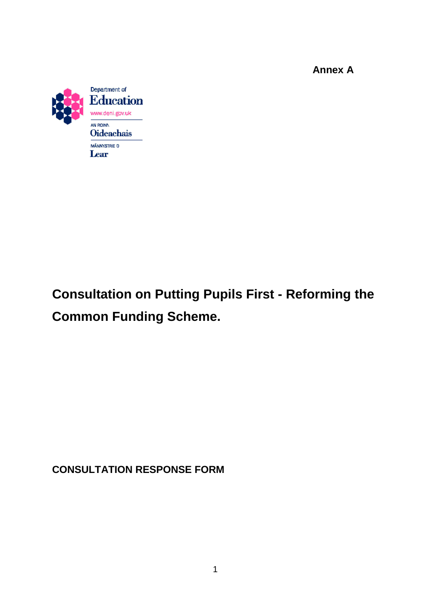**Annex A**



# **Consultation on Putting Pupils First - Reforming the Common Funding Scheme.**

**CONSULTATION RESPONSE FORM**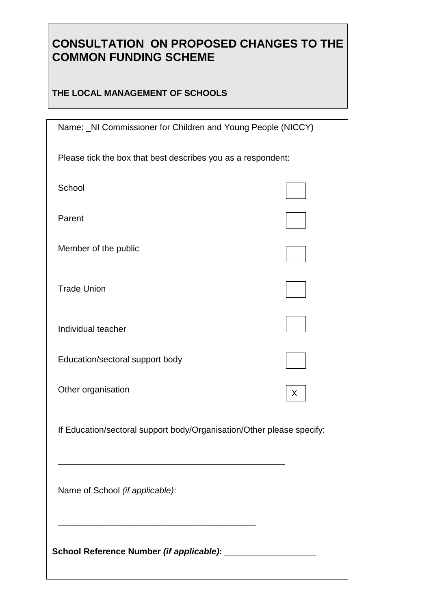## **CONSULTATION ON PROPOSED CHANGES TO THE COMMON FUNDING SCHEME**

## **THE LOCAL MANAGEMENT OF SCHOOLS**

| Name: _NI Commissioner for Children and Young People (NICCY)          |   |
|-----------------------------------------------------------------------|---|
| Please tick the box that best describes you as a respondent:          |   |
| School                                                                |   |
| Parent                                                                |   |
| Member of the public                                                  |   |
| <b>Trade Union</b>                                                    |   |
| Individual teacher                                                    |   |
| Education/sectoral support body                                       |   |
| Other organisation                                                    | X |
| If Education/sectoral support body/Organisation/Other please specify: |   |
| Name of School (if applicable):                                       |   |
|                                                                       |   |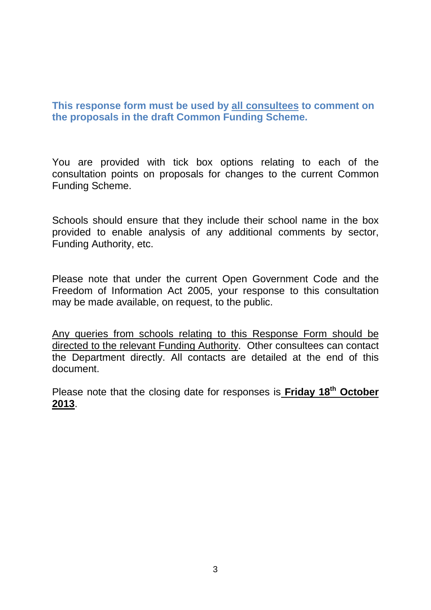## **This response form must be used by all consultees to comment on the proposals in the draft Common Funding Scheme.**

You are provided with tick box options relating to each of the consultation points on proposals for changes to the current Common Funding Scheme.

Schools should ensure that they include their school name in the box provided to enable analysis of any additional comments by sector, Funding Authority, etc.

Please note that under the current Open Government Code and the Freedom of Information Act 2005, your response to this consultation may be made available, on request, to the public.

Any queries from schools relating to this Response Form should be directed to the relevant Funding Authority. Other consultees can contact the Department directly. All contacts are detailed at the end of this document.

Please note that the closing date for responses is **Friday 18th October 2013**.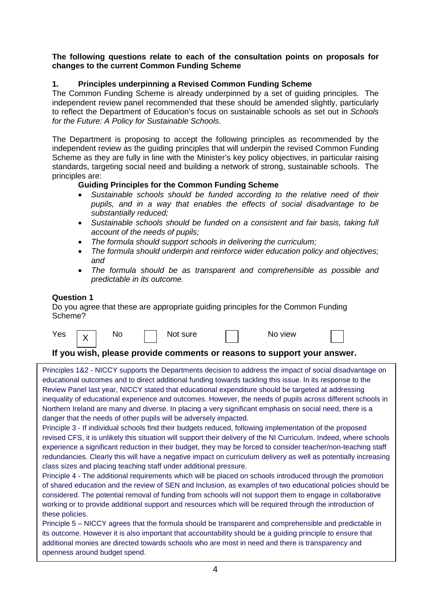#### **The following questions relate to each of the consultation points on proposals for changes to the current Common Funding Scheme**

#### **1. Principles underpinning a Revised Common Funding Scheme**

The Common Funding Scheme is already underpinned by a set of guiding principles. The independent review panel recommended that these should be amended slightly, particularly to reflect the Department of Education's focus on sustainable schools as set out in *Schools for the Future: A Policy for Sustainable Schools*.

The Department is proposing to accept the following principles as recommended by the independent review as the guiding principles that will underpin the revised Common Funding Scheme as they are fully in line with the Minister's key policy objectives, in particular raising standards, targeting social need and building a network of strong, sustainable schools. The principles are:

#### **Guiding Principles for the Common Funding Scheme**

- *Sustainable schools should be funded according to the relative need of their pupils, and in a way that enables the effects of social disadvantage to be substantially reduced;*
- *Sustainable schools should be funded on a consistent and fair basis, taking full account of the needs of pupils;*
- *The formula should support schools in delivering the curriculum;*
- *The formula should underpin and reinforce wider education policy and objectives; and*
- *The formula should be as transparent and comprehensible as possible and predictable in its outcome.*

#### **Question 1**

Do you agree that these are appropriate guiding principles for the Common Funding Scheme?

| Yes | $\mathbf{v}$ | Νo | sure<br>Nol. | view<br>NC |  |
|-----|--------------|----|--------------|------------|--|
|     |              |    |              |            |  |

#### **If you wish, please provide comments or reasons to support your answer.**

Principles 1&2 - NICCY supports the Departments decision to address the impact of social disadvantage on educational outcomes and to direct additional funding towards tackling this issue. In its response to the Review Panel last year, NICCY stated that educational expenditure should be targeted at addressing inequality of educational experience and outcomes. However, the needs of pupils across different schools in Northern Ireland are many and diverse. In placing a very significant emphasis on social need, there is a danger that the needs of other pupils will be adversely impacted.

Principle 3 - If individual schools find their budgets reduced, following implementation of the proposed revised CFS, it is unlikely this situation will support their delivery of the NI Curriculum. Indeed, where schools experience a significant reduction in their budget, they may be forced to consider teacher/non-teaching staff redundancies. Clearly this will have a negative impact on curriculum delivery as well as potentially increasing class sizes and placing teaching staff under additional pressure.

Principle 4 - The additional requirements which will be placed on schools introduced through the promotion of shared education and the review of SEN and Inclusion, as examples of two educational policies should be considered. The potential removal of funding from schools will not support them to engage in collaborative working or to provide additional support and resources which will be required through the introduction of these policies.

Principle 5 – NICCY agrees that the formula should be transparent and comprehensible and predictable in its outcome. However it is also important that accountability should be a guiding principle to ensure that additional monies are directed towards schools who are most in need and there is transparency and openness around budget spend.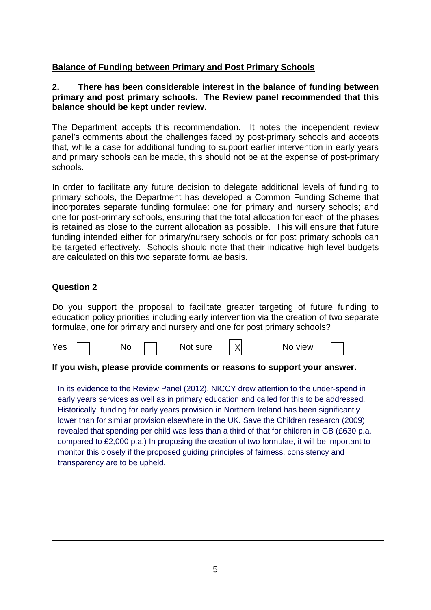## **Balance of Funding between Primary and Post Primary Schools**

#### **2. There has been considerable interest in the balance of funding between primary and post primary schools. The Review panel recommended that this balance should be kept under review.**

The Department accepts this recommendation. It notes the independent review panel's comments about the challenges faced by post-primary schools and accepts that, while a case for additional funding to support earlier intervention in early years and primary schools can be made, this should not be at the expense of post-primary schools.

In order to facilitate any future decision to delegate additional levels of funding to primary schools, the Department has developed a Common Funding Scheme that incorporates separate funding formulae: one for primary and nursery schools; and one for post-primary schools, ensuring that the total allocation for each of the phases is retained as close to the current allocation as possible. This will ensure that future funding intended either for primary/nursery schools or for post primary schools can be targeted effectively. Schools should note that their indicative high level budgets are calculated on this two separate formulae basis.

## **Question 2**

Do you support the proposal to facilitate greater targeting of future funding to education policy priorities including early intervention via the creation of two separate formulae, one for primary and nursery and one for post primary schools?



#### **If you wish, please provide comments or reasons to support your answer.**

In its evidence to the Review Panel (2012), NICCY drew attention to the under-spend in early years services as well as in primary education and called for this to be addressed. Historically, funding for early years provision in Northern Ireland has been significantly lower than for similar provision elsewhere in the UK. Save the Children research (2009) revealed that spending per child was less than a third of that for children in GB (£630 p.a. compared to £2,000 p.a.) In proposing the creation of two formulae, it will be important to monitor this closely if the proposed guiding principles of fairness, consistency and transparency are to be upheld.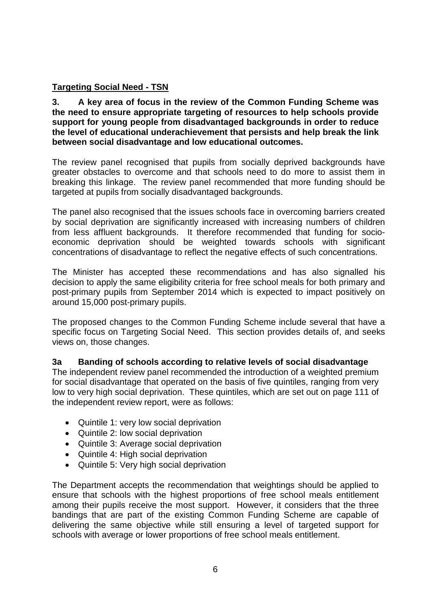## **Targeting Social Need - TSN**

**3. A key area of focus in the review of the Common Funding Scheme was the need to ensure appropriate targeting of resources to help schools provide support for young people from disadvantaged backgrounds in order to reduce the level of educational underachievement that persists and help break the link between social disadvantage and low educational outcomes.** 

The review panel recognised that pupils from socially deprived backgrounds have greater obstacles to overcome and that schools need to do more to assist them in breaking this linkage. The review panel recommended that more funding should be targeted at pupils from socially disadvantaged backgrounds.

The panel also recognised that the issues schools face in overcoming barriers created by social deprivation are significantly increased with increasing numbers of children from less affluent backgrounds. It therefore recommended that funding for socioeconomic deprivation should be weighted towards schools with significant concentrations of disadvantage to reflect the negative effects of such concentrations.

The Minister has accepted these recommendations and has also signalled his decision to apply the same eligibility criteria for free school meals for both primary and post-primary pupils from September 2014 which is expected to impact positively on around 15,000 post-primary pupils.

The proposed changes to the Common Funding Scheme include several that have a specific focus on Targeting Social Need. This section provides details of, and seeks views on, those changes.

## **3a Banding of schools according to relative levels of social disadvantage**

The independent review panel recommended the introduction of a weighted premium for social disadvantage that operated on the basis of five quintiles, ranging from very low to very high social deprivation. These quintiles, which are set out on page 111 of the independent review report, were as follows:

- Quintile 1: very low social deprivation
- Quintile 2: low social deprivation
- Quintile 3: Average social deprivation
- Quintile 4: High social deprivation
- Quintile 5: Very high social deprivation

The Department accepts the recommendation that weightings should be applied to ensure that schools with the highest proportions of free school meals entitlement among their pupils receive the most support. However, it considers that the three bandings that are part of the existing Common Funding Scheme are capable of delivering the same objective while still ensuring a level of targeted support for schools with average or lower proportions of free school meals entitlement.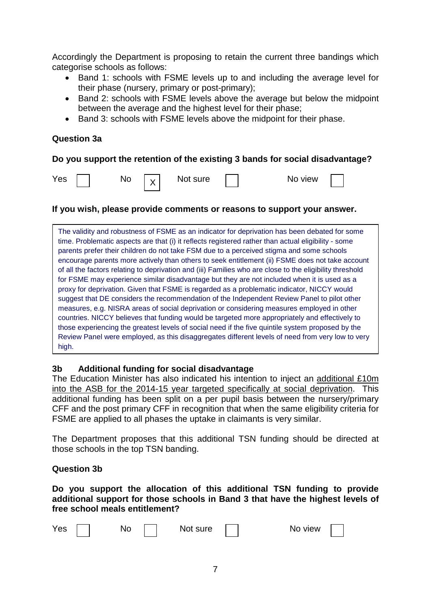Accordingly the Department is proposing to retain the current three bandings which categorise schools as follows:

- Band 1: schools with FSME levels up to and including the average level for their phase (nursery, primary or post-primary);
- Band 2: schools with FSME levels above the average but below the midpoint between the average and the highest level for their phase;
- Band 3: schools with FSME levels above the midpoint for their phase.

#### **Question 3a**

#### **Do you support the retention of the existing 3 bands for social disadvantage?**

X

 $\overline{N}$  Not sure  $\overline{N}$  No view

#### **If you wish, please provide comments or reasons to support your answer.**

The validity and robustness of FSME as an indicator for deprivation has been debated for some time. Problematic aspects are that (i) it reflects registered rather than actual eligibility - some parents prefer their children do not take FSM due to a perceived stigma and some schools encourage parents more actively than others to seek entitlement (ii) FSME does not take account of all the factors relating to deprivation and (iii) Families who are close to the eligibility threshold for FSME may experience similar disadvantage but they are not included when it is used as a proxy for deprivation. Given that FSME is regarded as a problematic indicator, NICCY would suggest that DE considers the recommendation of the Independent Review Panel to pilot other measures, e.g. NISRA areas of social deprivation or considering measures employed in other countries. NICCY believes that funding would be targeted more appropriately and effectively to those experiencing the greatest levels of social need if the five quintile system proposed by the Review Panel were employed, as this disaggregates different levels of need from very low to very high.

#### **3b Additional funding for social disadvantage**

The Education Minister has also indicated his intention to inject an additional £10m into the ASB for the 2014-15 year targeted specifically at social deprivation. This additional funding has been split on a per pupil basis between the nursery/primary CFF and the post primary CFF in recognition that when the same eligibility criteria for FSME are applied to all phases the uptake in claimants is very similar.

The Department proposes that this additional TSN funding should be directed at those schools in the top TSN banding.

#### **Question 3b**

**Do you support the allocation of this additional TSN funding to provide additional support for those schools in Band 3 that have the highest levels of free school meals entitlement?**

| Yes | No | Not sure | , view<br>ΝO |
|-----|----|----------|--------------|
|     |    |          |              |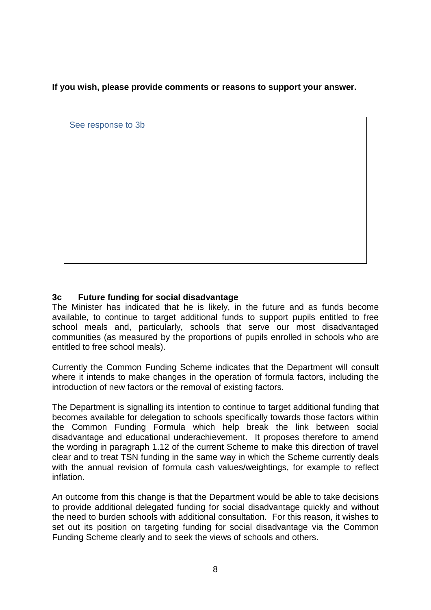**If you wish, please provide comments or reasons to support your answer.**

See response to 3b

## **3c Future funding for social disadvantage**

The Minister has indicated that he is likely, in the future and as funds become available, to continue to target additional funds to support pupils entitled to free school meals and, particularly, schools that serve our most disadvantaged communities (as measured by the proportions of pupils enrolled in schools who are entitled to free school meals).

Currently the Common Funding Scheme indicates that the Department will consult where it intends to make changes in the operation of formula factors, including the introduction of new factors or the removal of existing factors.

The Department is signalling its intention to continue to target additional funding that becomes available for delegation to schools specifically towards those factors within the Common Funding Formula which help break the link between social disadvantage and educational underachievement. It proposes therefore to amend the wording in paragraph 1.12 of the current Scheme to make this direction of travel clear and to treat TSN funding in the same way in which the Scheme currently deals with the annual revision of formula cash values/weightings, for example to reflect inflation.

An outcome from this change is that the Department would be able to take decisions to provide additional delegated funding for social disadvantage quickly and without the need to burden schools with additional consultation. For this reason, it wishes to set out its position on targeting funding for social disadvantage via the Common Funding Scheme clearly and to seek the views of schools and others.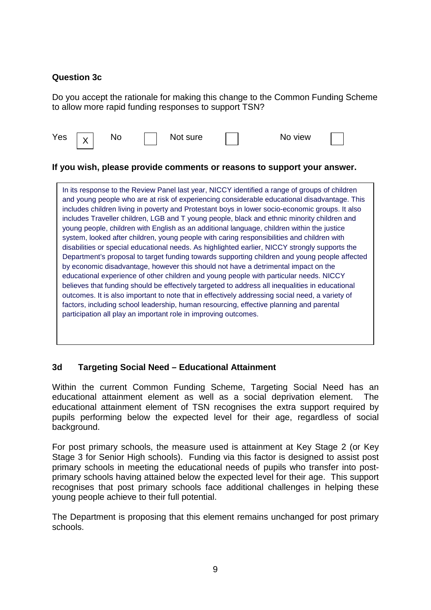## **Question 3c**

Do you accept the rationale for making this change to the Common Funding Scheme to allow more rapid funding responses to support TSN?

| Yes | $\cdot$ |  |  | Not sure |  | No view |  |  |
|-----|---------|--|--|----------|--|---------|--|--|
|-----|---------|--|--|----------|--|---------|--|--|

#### **If you wish, please provide comments or reasons to support your answer.**

In its response to the Review Panel last year, NICCY identified a range of groups of children and young people who are at risk of experiencing considerable educational disadvantage. This includes children living in poverty and Protestant boys in lower socio-economic groups. It also includes Traveller children, LGB and T young people, black and ethnic minority children and young people, children with English as an additional language, children within the justice system, looked after children, young people with caring responsibilities and children with disabilities or special educational needs. As highlighted earlier, NICCY strongly supports the Department's proposal to target funding towards supporting children and young people affected by economic disadvantage, however this should not have a detrimental impact on the educational experience of other children and young people with particular needs. NICCY believes that funding should be effectively targeted to address all inequalities in educational outcomes. It is also important to note that in effectively addressing social need, a variety of factors, including school leadership, human resourcing, effective planning and parental participation all play an important role in improving outcomes.

#### **3d Targeting Social Need – Educational Attainment**

Within the current Common Funding Scheme, Targeting Social Need has an educational attainment element as well as a social deprivation element. The educational attainment element of TSN recognises the extra support required by pupils performing below the expected level for their age, regardless of social background.

For post primary schools, the measure used is attainment at Key Stage 2 (or Key Stage 3 for Senior High schools). Funding via this factor is designed to assist post primary schools in meeting the educational needs of pupils who transfer into postprimary schools having attained below the expected level for their age. This support recognises that post primary schools face additional challenges in helping these young people achieve to their full potential.

The Department is proposing that this element remains unchanged for post primary schools.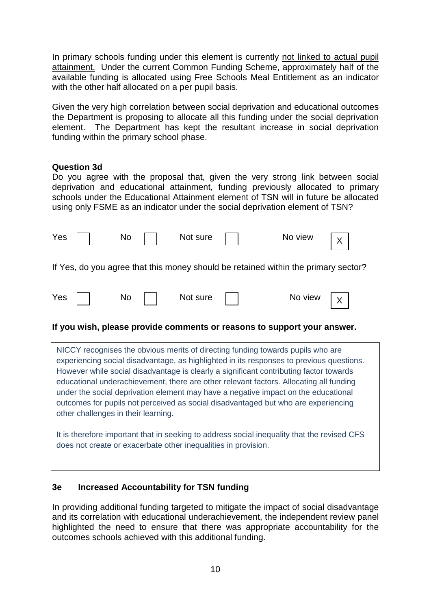In primary schools funding under this element is currently not linked to actual pupil attainment. Under the current Common Funding Scheme, approximately half of the available funding is allocated using Free Schools Meal Entitlement as an indicator with the other half allocated on a per pupil basis.

Given the very high correlation between social deprivation and educational outcomes the Department is proposing to allocate all this funding under the social deprivation element. The Department has kept the resultant increase in social deprivation funding within the primary school phase.

#### **Question 3d**

Do you agree with the proposal that, given the very strong link between social deprivation and educational attainment, funding previously allocated to primary schools under the Educational Attainment element of TSN will in future be allocated using only FSME as an indicator under the social deprivation element of TSN?

|     | Yes $\vert \ \ \vert$ | $\mathsf{No}$ | Not sure     | No view                                                                            | $\mathsf{X}$ |
|-----|-----------------------|---------------|--------------|------------------------------------------------------------------------------------|--------------|
|     |                       |               |              | If Yes, do you agree that this money should be retained within the primary sector? |              |
| Yes |                       | <b>No</b>     | Not sure $ $ | No view $ x $                                                                      |              |

 $X<sub>1</sub>$ 

#### **If you wish, please provide comments or reasons to support your answer.**

NICCY recognises the obvious merits of directing funding towards pupils who are experiencing social disadvantage, as highlighted in its responses to previous questions. However while social disadvantage is clearly a significant contributing factor towards educational underachievement, there are other relevant factors. Allocating all funding under the social deprivation element may have a negative impact on the educational outcomes for pupils not perceived as social disadvantaged but who are experiencing other challenges in their learning.

It is therefore important that in seeking to address social inequality that the revised CFS does not create or exacerbate other inequalities in provision.

#### **3e Increased Accountability for TSN funding**

In providing additional funding targeted to mitigate the impact of social disadvantage and its correlation with educational underachievement, the independent review panel highlighted the need to ensure that there was appropriate accountability for the outcomes schools achieved with this additional funding.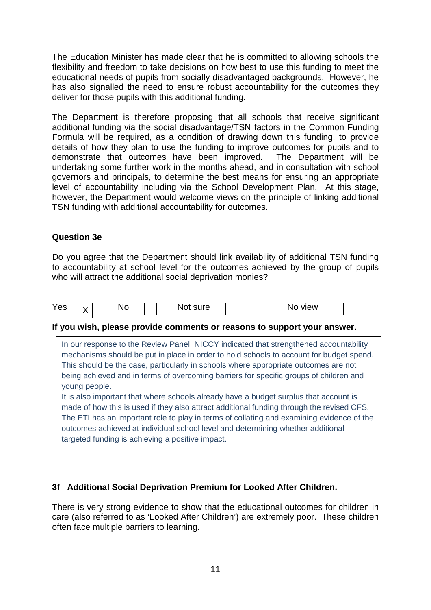The Education Minister has made clear that he is committed to allowing schools the flexibility and freedom to take decisions on how best to use this funding to meet the educational needs of pupils from socially disadvantaged backgrounds. However, he has also signalled the need to ensure robust accountability for the outcomes they deliver for those pupils with this additional funding.

The Department is therefore proposing that all schools that receive significant additional funding via the social disadvantage/TSN factors in the Common Funding Formula will be required, as a condition of drawing down this funding, to provide details of how they plan to use the funding to improve outcomes for pupils and to demonstrate that outcomes have been improved. The Department will be undertaking some further work in the months ahead, and in consultation with school governors and principals, to determine the best means for ensuring an appropriate level of accountability including via the School Development Plan. At this stage, however, the Department would welcome views on the principle of linking additional TSN funding with additional accountability for outcomes.

## **Question 3e**

Do you agree that the Department should link availability of additional TSN funding to accountability at school level for the outcomes achieved by the group of pupils who will attract the additional social deprivation monies?



## **3f Additional Social Deprivation Premium for Looked After Children.**

There is very strong evidence to show that the educational outcomes for children in care (also referred to as 'Looked After Children') are extremely poor. These children often face multiple barriers to learning.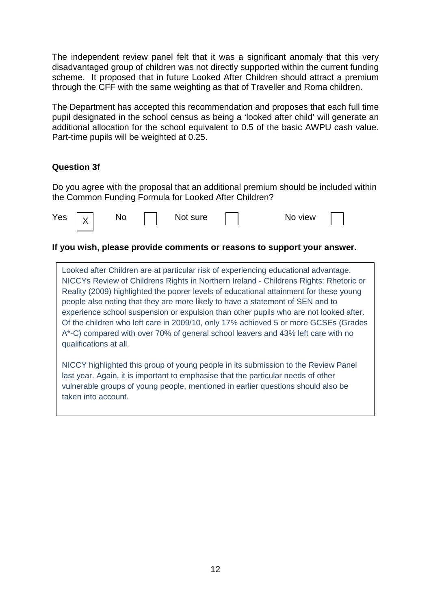The independent review panel felt that it was a significant anomaly that this very disadvantaged group of children was not directly supported within the current funding scheme. It proposed that in future Looked After Children should attract a premium through the CFF with the same weighting as that of Traveller and Roma children.

The Department has accepted this recommendation and proposes that each full time pupil designated in the school census as being a 'looked after child' will generate an additional allocation for the school equivalent to 0.5 of the basic AWPU cash value. Part-time pupils will be weighted at 0.25.

#### **Question 3f**

Do you agree with the proposal that an additional premium should be included within the Common Funding Formula for Looked After Children?

| Yes | $\cdot$<br>. . | NO | Not sure | ว view<br>INO. |  |
|-----|----------------|----|----------|----------------|--|
|     |                |    |          |                |  |

#### **If you wish, please provide comments or reasons to support your answer.**

Looked after Children are at particular risk of experiencing educational advantage. NICCYs Review of Childrens Rights in Northern Ireland - Childrens Rights: Rhetoric or Reality (2009) highlighted the poorer levels of educational attainment for these young people also noting that they are more likely to have a statement of SEN and to experience school suspension or expulsion than other pupils who are not looked after. Of the children who left care in 2009/10, only 17% achieved 5 or more GCSEs (Grades A\*-C) compared with over 70% of general school leavers and 43% left care with no qualifications at all.

NICCY highlighted this group of young people in its submission to the Review Panel last year. Again, it is important to emphasise that the particular needs of other vulnerable groups of young people, mentioned in earlier questions should also be taken into account.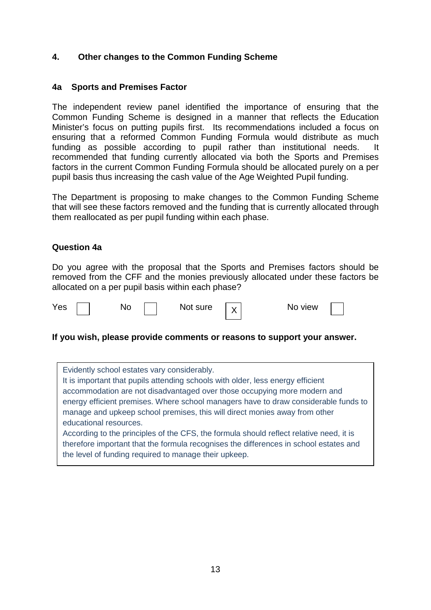## **4. Other changes to the Common Funding Scheme**

#### **4a Sports and Premises Factor**

The independent review panel identified the importance of ensuring that the Common Funding Scheme is designed in a manner that reflects the Education Minister's focus on putting pupils first. Its recommendations included a focus on ensuring that a reformed Common Funding Formula would distribute as much funding as possible according to pupil rather than institutional needs. It recommended that funding currently allocated via both the Sports and Premises factors in the current Common Funding Formula should be allocated purely on a per pupil basis thus increasing the cash value of the Age Weighted Pupil funding.

The Department is proposing to make changes to the Common Funding Scheme that will see these factors removed and the funding that is currently allocated through them reallocated as per pupil funding within each phase.

#### **Question 4a**

Do you agree with the proposal that the Sports and Premises factors should be removed from the CFF and the monies previously allocated under these factors be allocated on a per pupil basis within each phase?





#### **If you wish, please provide comments or reasons to support your answer.**

Evidently school estates vary considerably. It is important that pupils attending schools with older, less energy efficient accommodation are not disadvantaged over those occupying more modern and energy efficient premises. Where school managers have to draw considerable funds to manage and upkeep school premises, this will direct monies away from other educational resources. According to the principles of the CFS, the formula should reflect relative need, it is therefore important that the formula recognises the differences in school estates and the level of funding required to manage their upkeep.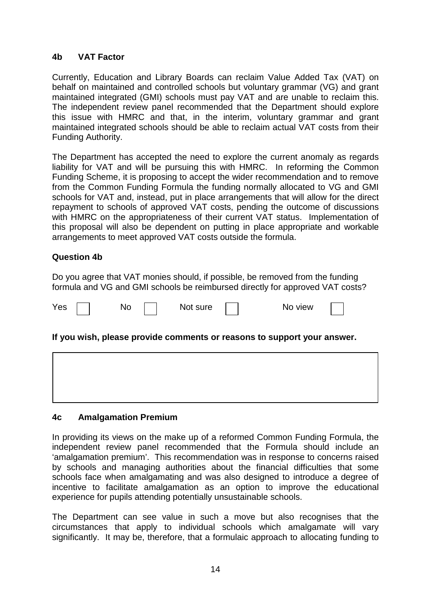#### **4b VAT Factor**

Currently, Education and Library Boards can reclaim Value Added Tax (VAT) on behalf on maintained and controlled schools but voluntary grammar (VG) and grant maintained integrated (GMI) schools must pay VAT and are unable to reclaim this. The independent review panel recommended that the Department should explore this issue with HMRC and that, in the interim, voluntary grammar and grant maintained integrated schools should be able to reclaim actual VAT costs from their Funding Authority.

The Department has accepted the need to explore the current anomaly as regards liability for VAT and will be pursuing this with HMRC. In reforming the Common Funding Scheme, it is proposing to accept the wider recommendation and to remove from the Common Funding Formula the funding normally allocated to VG and GMI schools for VAT and, instead, put in place arrangements that will allow for the direct repayment to schools of approved VAT costs, pending the outcome of discussions with HMRC on the appropriateness of their current VAT status. Implementation of this proposal will also be dependent on putting in place appropriate and workable arrangements to meet approved VAT costs outside the formula.

## **Question 4b**

Do you agree that VAT monies should, if possible, be removed from the funding formula and VG and GMI schools be reimbursed directly for approved VAT costs?

| Yes | No | Not sure | o view<br>NC |
|-----|----|----------|--------------|
|-----|----|----------|--------------|

#### **If you wish, please provide comments or reasons to support your answer.**

#### **4c Amalgamation Premium**

In providing its views on the make up of a reformed Common Funding Formula, the independent review panel recommended that the Formula should include an 'amalgamation premium'. This recommendation was in response to concerns raised by schools and managing authorities about the financial difficulties that some schools face when amalgamating and was also designed to introduce a degree of incentive to facilitate amalgamation as an option to improve the educational experience for pupils attending potentially unsustainable schools.

The Department can see value in such a move but also recognises that the circumstances that apply to individual schools which amalgamate will vary significantly. It may be, therefore, that a formulaic approach to allocating funding to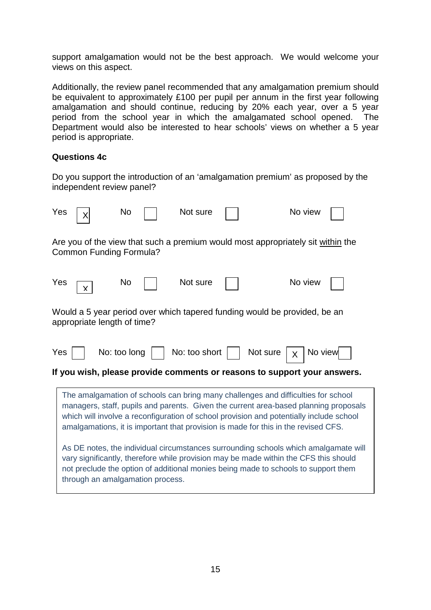support amalgamation would not be the best approach. We would welcome your views on this aspect.

Additionally, the review panel recommended that any amalgamation premium should be equivalent to approximately £100 per pupil per annum in the first year following amalgamation and should continue, reducing by 20% each year, over a 5 year period from the school year in which the amalgamated school opened. The Department would also be interested to hear schools' views on whether a 5 year period is appropriate.

#### **Questions 4c**

Do you support the introduction of an 'amalgamation premium' as proposed by the independent review panel?

| Yes                                                                                                                                                                                                                                                                                                                                                        |                                                                                                                                                                                                                                                                                                       | No        |  | Not sure |  | No view                                                                         |  |  |
|------------------------------------------------------------------------------------------------------------------------------------------------------------------------------------------------------------------------------------------------------------------------------------------------------------------------------------------------------------|-------------------------------------------------------------------------------------------------------------------------------------------------------------------------------------------------------------------------------------------------------------------------------------------------------|-----------|--|----------|--|---------------------------------------------------------------------------------|--|--|
|                                                                                                                                                                                                                                                                                                                                                            | Common Funding Formula?                                                                                                                                                                                                                                                                               |           |  |          |  | Are you of the view that such a premium would most appropriately sit within the |  |  |
| Yes                                                                                                                                                                                                                                                                                                                                                        | x                                                                                                                                                                                                                                                                                                     | <b>No</b> |  | Not sure |  | No view                                                                         |  |  |
|                                                                                                                                                                                                                                                                                                                                                            | Would a 5 year period over which tapered funding would be provided, be an<br>appropriate length of time?                                                                                                                                                                                              |           |  |          |  |                                                                                 |  |  |
| Yes                                                                                                                                                                                                                                                                                                                                                        | No: too long<br>No: too short<br>Not sure<br>No view<br>X<br>If you wish, please provide comments or reasons to support your answers.                                                                                                                                                                 |           |  |          |  |                                                                                 |  |  |
|                                                                                                                                                                                                                                                                                                                                                            |                                                                                                                                                                                                                                                                                                       |           |  |          |  |                                                                                 |  |  |
| The amalgamation of schools can bring many challenges and difficulties for school<br>managers, staff, pupils and parents. Given the current area-based planning proposals<br>which will involve a reconfiguration of school provision and potentially include school<br>amalgamations, it is important that provision is made for this in the revised CFS. |                                                                                                                                                                                                                                                                                                       |           |  |          |  |                                                                                 |  |  |
|                                                                                                                                                                                                                                                                                                                                                            | As DE notes, the individual circumstances surrounding schools which amalgamate will<br>vary significantly, therefore while provision may be made within the CFS this should<br>not preclude the option of additional monies being made to schools to support them<br>through an amalgamation process. |           |  |          |  |                                                                                 |  |  |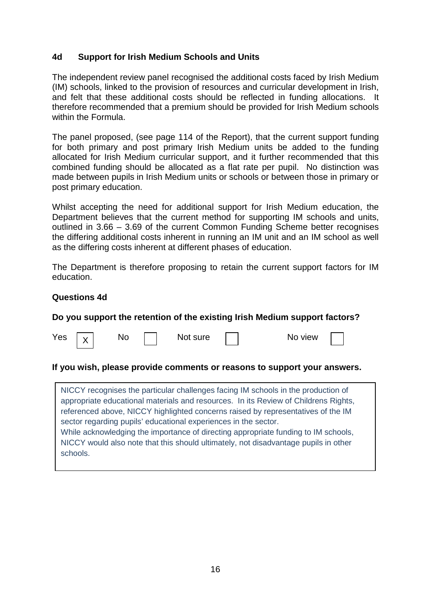#### **4d Support for Irish Medium Schools and Units**

The independent review panel recognised the additional costs faced by Irish Medium (IM) schools, linked to the provision of resources and curricular development in Irish, and felt that these additional costs should be reflected in funding allocations. It therefore recommended that a premium should be provided for Irish Medium schools within the Formula.

The panel proposed, (see page 114 of the Report), that the current support funding for both primary and post primary Irish Medium units be added to the funding allocated for Irish Medium curricular support, and it further recommended that this combined funding should be allocated as a flat rate per pupil. No distinction was made between pupils in Irish Medium units or schools or between those in primary or post primary education.

Whilst accepting the need for additional support for Irish Medium education, the Department believes that the current method for supporting IM schools and units, outlined in 3.66 – 3.69 of the current Common Funding Scheme better recognises the differing additional costs inherent in running an IM unit and an IM school as well as the differing costs inherent at different phases of education.

The Department is therefore proposing to retain the current support factors for IM education.

#### **Questions 4d**

X

#### **Do you support the retention of the existing Irish Medium support factors?**

| ×<br>×<br>$-$<br>v. |
|---------------------|
|---------------------|

No Not sure No view

#### **If you wish, please provide comments or reasons to support your answers.**

NICCY recognises the particular challenges facing IM schools in the production of appropriate educational materials and resources. In its Review of Childrens Rights, referenced above, NICCY highlighted concerns raised by representatives of the IM sector regarding pupils' educational experiences in the sector. While acknowledging the importance of directing appropriate funding to IM schools, NICCY would also note that this should ultimately, not disadvantage pupils in other schools.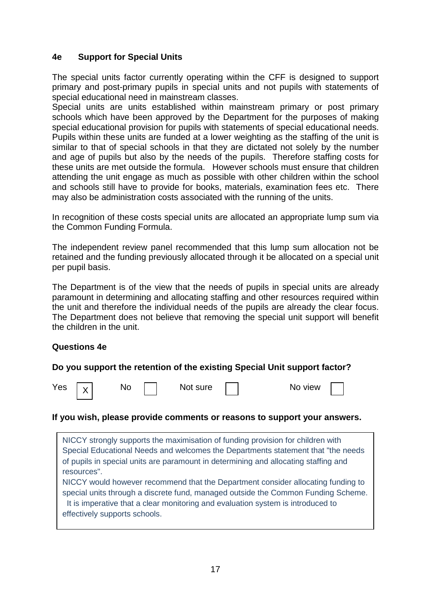## **4e Support for Special Units**

The special units factor currently operating within the CFF is designed to support primary and post-primary pupils in special units and not pupils with statements of special educational need in mainstream classes.

Special units are units established within mainstream primary or post primary schools which have been approved by the Department for the purposes of making special educational provision for pupils with statements of special educational needs. Pupils within these units are funded at a lower weighting as the staffing of the unit is similar to that of special schools in that they are dictated not solely by the number and age of pupils but also by the needs of the pupils. Therefore staffing costs for these units are met outside the formula. However schools must ensure that children attending the unit engage as much as possible with other children within the school and schools still have to provide for books, materials, examination fees etc. There may also be administration costs associated with the running of the units.

In recognition of these costs special units are allocated an appropriate lump sum via the Common Funding Formula.

The independent review panel recommended that this lump sum allocation not be retained and the funding previously allocated through it be allocated on a special unit per pupil basis.

The Department is of the view that the needs of pupils in special units are already paramount in determining and allocating staffing and other resources required within the unit and therefore the individual needs of the pupils are already the clear focus. The Department does not believe that removing the special unit support will benefit the children in the unit.

#### **Questions 4e**

#### **Do you support the retention of the existing Special Unit support factor?**



#### **If you wish, please provide comments or reasons to support your answers.**

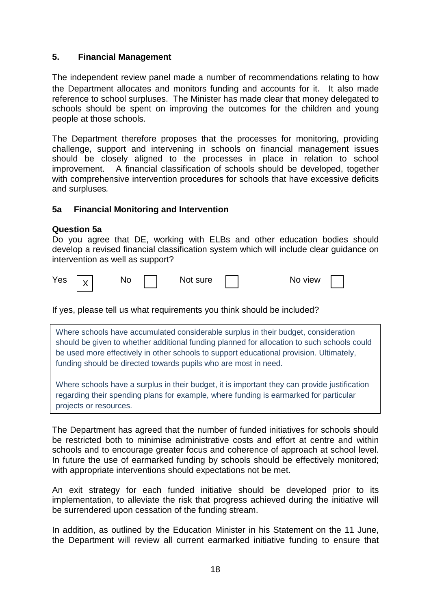## **5. Financial Management**

The independent review panel made a number of recommendations relating to how the Department allocates and monitors funding and accounts for it. It also made reference to school surpluses. The Minister has made clear that money delegated to schools should be spent on improving the outcomes for the children and young people at those schools.

The Department therefore proposes that the processes for monitoring, providing challenge, support and intervening in schools on financial management issues should be closely aligned to the processes in place in relation to school improvement. A financial classification of schools should be developed, together with comprehensive intervention procedures for schools that have excessive deficits and surpluses*.* 

## **5a Financial Monitoring and Intervention**

#### **Question 5a**

Do you agree that DE, working with ELBs and other education bodies should develop a revised financial classification system which will include clear guidance on intervention as well as support?

| Yes | $\checkmark$ | NC |  | 'ot sure<br>Νć |  | view<br>-NC |  |  |
|-----|--------------|----|--|----------------|--|-------------|--|--|
|-----|--------------|----|--|----------------|--|-------------|--|--|

If yes, please tell us what requirements you think should be included?

Where schools have accumulated considerable surplus in their budget, consideration should be given to whether additional funding planned for allocation to such schools could be used more effectively in other schools to support educational provision. Ultimately, funding should be directed towards pupils who are most in need.

**5** Federal Budgets or resources. Where schools have a surplus in their budget, it is important they can provide justification regarding their spending plans for example, where funding is earmarked for particular

The Department has agreed that the number of funded initiatives for schools should be restricted both to minimise administrative costs and effort at centre and within schools and to encourage greater focus and coherence of approach at school level. In future the use of earmarked funding by schools should be effectively monitored; with appropriate interventions should expectations not be met.

An exit strategy for each funded initiative should be developed prior to its implementation, to alleviate the risk that progress achieved during the initiative will be surrendered upon cessation of the funding stream.

In addition, as outlined by the Education Minister in his Statement on the 11 June, the Department will review all current earmarked initiative funding to ensure that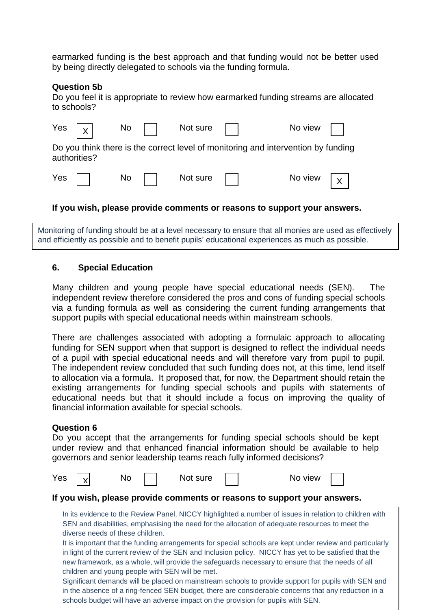earmarked funding is the best approach and that funding would not be better used by being directly delegated to schools via the funding formula.

#### **Question 5b**

Do you feel it is appropriate to review how earmarked funding streams are allocated to schools?

|                                                                                                   | Yes $\boxed{x}$ | $\mathsf{No} \quad \Box$ |  | Not sure |  | No view $\vert \vert$ |             |  |  |
|---------------------------------------------------------------------------------------------------|-----------------|--------------------------|--|----------|--|-----------------------|-------------|--|--|
| Do you think there is the correct level of monitoring and intervention by funding<br>authorities? |                 |                          |  |          |  |                       |             |  |  |
|                                                                                                   | $Yes$           | No                       |  | Not sure |  | No view               | $X_{\perp}$ |  |  |

#### **If you wish, please provide comments or reasons to support your answers.**

Monitoring of funding should be at a level necessary to ensure that all monies are used as effectively and efficiently as possible and to benefit pupils' educational experiences as much as possible.

#### **6. Special Education**

Many children and young people have special educational needs (SEN). The independent review therefore considered the pros and cons of funding special schools via a funding formula as well as considering the current funding arrangements that support pupils with special educational needs within mainstream schools.

There are challenges associated with adopting a formulaic approach to allocating funding for SEN support when that support is designed to reflect the individual needs of a pupil with special educational needs and will therefore vary from pupil to pupil. The independent review concluded that such funding does not, at this time, lend itself to allocation via a formula. It proposed that, for now, the Department should retain the existing arrangements for funding special schools and pupils with statements of educational needs but that it should include a focus on improving the quality of financial information available for special schools.

#### **Question 6**

Do you accept that the arrangements for funding special schools should be kept under review and that enhanced financial information should be available to help governors and senior leadership teams reach fully informed decisions?

|                                                                          | Yes |  | No                               |  | Not sure                                                                                                                                                                                                                                                                                                                                                                                                                                                                                                                                                                                                                                                                                                                                                                                                                                                                                 |  |  | No view |  |  |  |
|--------------------------------------------------------------------------|-----|--|----------------------------------|--|------------------------------------------------------------------------------------------------------------------------------------------------------------------------------------------------------------------------------------------------------------------------------------------------------------------------------------------------------------------------------------------------------------------------------------------------------------------------------------------------------------------------------------------------------------------------------------------------------------------------------------------------------------------------------------------------------------------------------------------------------------------------------------------------------------------------------------------------------------------------------------------|--|--|---------|--|--|--|
| If you wish, please provide comments or reasons to support your answers. |     |  |                                  |  |                                                                                                                                                                                                                                                                                                                                                                                                                                                                                                                                                                                                                                                                                                                                                                                                                                                                                          |  |  |         |  |  |  |
|                                                                          |     |  | diverse needs of these children. |  | In its evidence to the Review Panel, NICCY highlighted a number of issues in relation to children with<br>SEN and disabilities, emphasising the need for the allocation of adequate resources to meet the<br>It is important that the funding arrangements for special schools are kept under review and particularly<br>in light of the current review of the SEN and Inclusion policy. NICCY has yet to be satisfied that the<br>new framework, as a whole, will provide the safeguards necessary to ensure that the needs of all<br>children and young people with SEN will be met.<br>Significant demands will be placed on mainstream schools to provide support for pupils with SEN and<br>in the absence of a ring-fenced SEN budget, there are considerable concerns that any reduction in a<br>schools budget will have an adverse impact on the provision for pupils with SEN. |  |  |         |  |  |  |